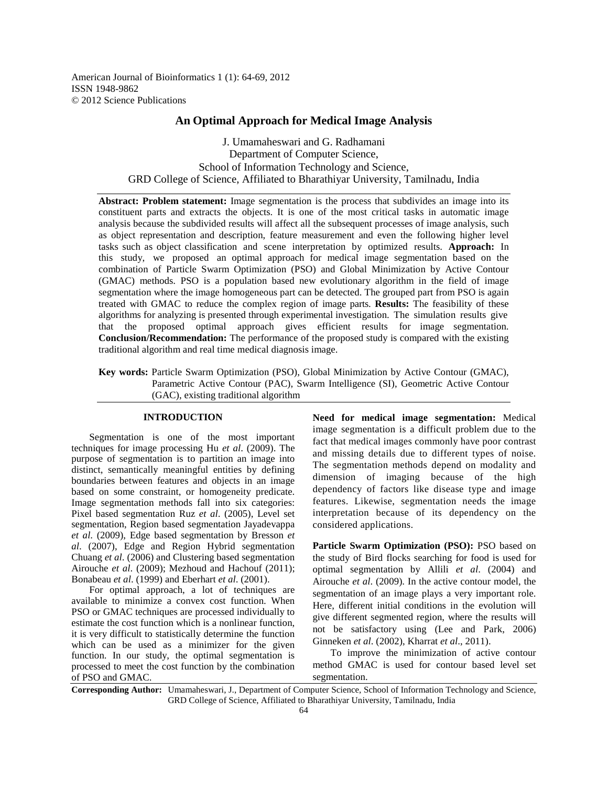American Journal of Bioinformatics 1 (1): 64-69, 2012 ISSN 1948-9862 © 2012 Science Publications

# **An Optimal Approach for Medical Image Analysis**

J. Umamaheswari and G. Radhamani Department of Computer Science, School of Information Technology and Science, GRD College of Science, Affiliated to Bharathiyar University, Tamilnadu, India

**Abstract: Problem statement:** Image segmentation is the process that subdivides an image into its constituent parts and extracts the objects. It is one of the most critical tasks in automatic image analysis because the subdivided results will affect all the subsequent processes of image analysis, such as object representation and description, feature measurement and even the following higher level tasks such as object classification and scene interpretation by optimized results. **Approach:** In this study, we proposed an optimal approach for medical image segmentation based on the combination of Particle Swarm Optimization (PSO) and Global Minimization by Active Contour (GMAC) methods. PSO is a population based new evolutionary algorithm in the field of image segmentation where the image homogeneous part can be detected. The grouped part from PSO is again treated with GMAC to reduce the complex region of image parts. **Results:** The feasibility of these algorithms for analyzing is presented through experimental investigation. The simulation results give that the proposed optimal approach gives efficient results for image segmentation. **Conclusion/Recommendation:** The performance of the proposed study is compared with the existing traditional algorithm and real time medical diagnosis image.

**Key words:** Particle Swarm Optimization (PSO), Global Minimization by Active Contour (GMAC), Parametric Active Contour (PAC), Swarm Intelligence (SI), Geometric Active Contour (GAC), existing traditional algorithm

## **INTRODUCTION**

 Segmentation is one of the most important techniques for image processing Hu *et al*. (2009). The purpose of segmentation is to partition an image into distinct, semantically meaningful entities by defining boundaries between features and objects in an image based on some constraint, or homogeneity predicate. Image segmentation methods fall into six categories: Pixel based segmentation Ruz *et al*. (2005), Level set segmentation, Region based segmentation Jayadevappa *et al*. (2009), Edge based segmentation by Bresson *et al*. (2007), Edge and Region Hybrid segmentation Chuang *et al*. (2006) and Clustering based segmentation Airouche *et al*. (2009); Mezhoud and Hachouf (2011); Bonabeau *et al*. (1999) and Eberhart *et al*. (2001).

 For optimal approach, a lot of techniques are available to minimize a convex cost function. When PSO or GMAC techniques are processed individually to estimate the cost function which is a nonlinear function, it is very difficult to statistically determine the function which can be used as a minimizer for the given function. In our study, the optimal segmentation is processed to meet the cost function by the combination of PSO and GMAC.

**Need for medical image segmentation:** Medical image segmentation is a difficult problem due to the fact that medical images commonly have poor contrast and missing details due to different types of noise. The segmentation methods depend on modality and dimension of imaging because of the high dependency of factors like disease type and image features. Likewise, segmentation needs the image interpretation because of its dependency on the considered applications.

**Particle Swarm Optimization (PSO):** PSO based on the study of Bird flocks searching for food is used for optimal segmentation by Allili *et al*. (2004) and Airouche *et al*. (2009). In the active contour model, the segmentation of an image plays a very important role. Here, different initial conditions in the evolution will give different segmented region, where the results will not be satisfactory using (Lee and Park, 2006) Ginneken *et al*. (2002), Kharrat *et al*., 2011).

 To improve the minimization of active contour method GMAC is used for contour based level set segmentation.

**Corresponding Author:** Umamaheswari, J., Department of Computer Science, School of Information Technology and Science, GRD College of Science, Affiliated to Bharathiyar University, Tamilnadu, India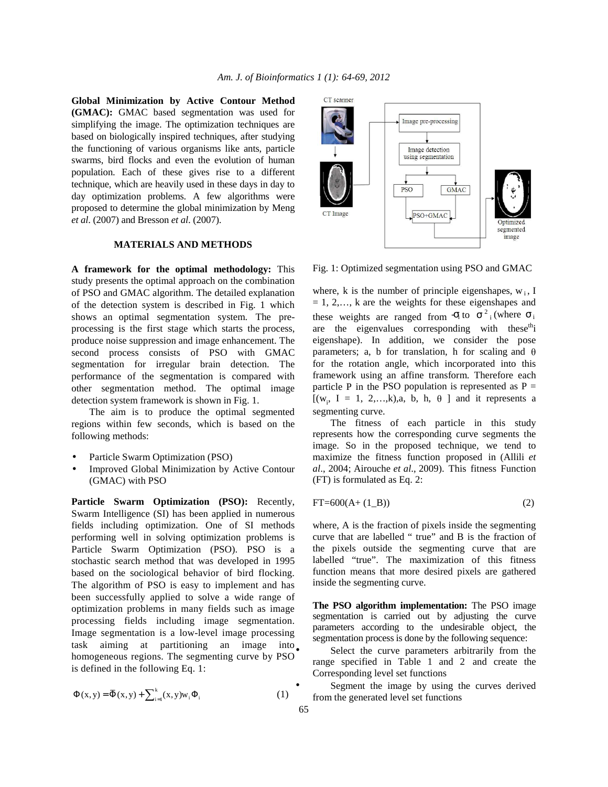**Global Minimization by Active Contour Method (GMAC):** GMAC based segmentation was used for simplifying the image. The optimization techniques are based on biologically inspired techniques, after studying the functioning of various organisms like ants, particle swarms, bird flocks and even the evolution of human population. Each of these gives rise to a different technique, which are heavily used in these days in day to day optimization problems. A few algorithms were proposed to determine the global minimization by Meng *et al*. (2007) and Bresson *et al*. (2007).

### **MATERIALS AND METHODS**

**A framework for the optimal methodology:** This study presents the optimal approach on the combination of PSO and GMAC algorithm. The detailed explanation of the detection system is described in Fig. 1 which shows an optimal segmentation system. The preprocessing is the first stage which starts the process, produce noise suppression and image enhancement. The second process consists of PSO with GMAC segmentation for irregular brain detection. The performance of the segmentation is compared with other segmentation method. The optimal image detection system framework is shown in Fig. 1.

 The aim is to produce the optimal segmented regions within few seconds, which is based on the following methods:

- Particle Swarm Optimization (PSO)
- Improved Global Minimization by Active Contour (GMAC) with PSO

**Particle Swarm Optimization (PSO):** Recently, Swarm Intelligence (SI) has been applied in numerous fields including optimization. One of SI methods performing well in solving optimization problems is Particle Swarm Optimization (PSO). PSO is a stochastic search method that was developed in 1995 based on the sociological behavior of bird flocking. The algorithm of PSO is easy to implement and has been successfully applied to solve a wide range of optimization problems in many fields such as image processing fields including image segmentation. Image segmentation is a low-level image processing task aiming at partitioning an image into homogeneous regions. The segmenting curve by PSO is defined in the following Eq. 1:

$$
\Phi(x, y) = \overline{\Phi}(x, y) + \sum_{i=1}^{k} (x, y) w_i \Phi_i
$$
 (1)



Fig. 1: Optimized segmentation using PSO and GMAC

where, k is the number of principle eigenshapes,  $w_i$ , I  $= 1, 2,..., k$  are the weights for these eigenshapes and these weights are ranged from  $\sigma_i$  to  $\sigma^2$  (where  $\sigma_i$ are the eigenvalues corresponding with these<sup>th</sup>i eigenshape). In addition, we consider the pose parameters; a, b for translation, h for scaling and  $\theta$ for the rotation angle, which incorporated into this framework using an affine transform. Therefore each particle P in the PSO population is represented as  $P =$  $[(w_i, I = 1, 2,...,k),a, b, h, \theta]$  and it represents a segmenting curve.

 The fitness of each particle in this study represents how the corresponding curve segments the image. So in the proposed technique, we tend to maximize the fitness function proposed in (Allili *et al*., 2004; Airouche *et al*., 2009). This fitness Function (FT) is formulated as Eq. 2:

$$
FT = 600(A + (1_B))
$$
 (2)

where, A is the fraction of pixels inside the segmenting curve that are labelled " true" and B is the fraction of the pixels outside the segmenting curve that are labelled "true". The maximization of this fitness function means that more desired pixels are gathered inside the segmenting curve.

**The PSO algorithm implementation:** The PSO image segmentation is carried out by adjusting the curve parameters according to the undesirable object, the segmentation process is done by the following sequence:

Select the curve parameters arbitrarily from the range specified in Table 1 and 2 and create the Corresponding level set functions

Segment the image by using the curves derived from the generated level set functions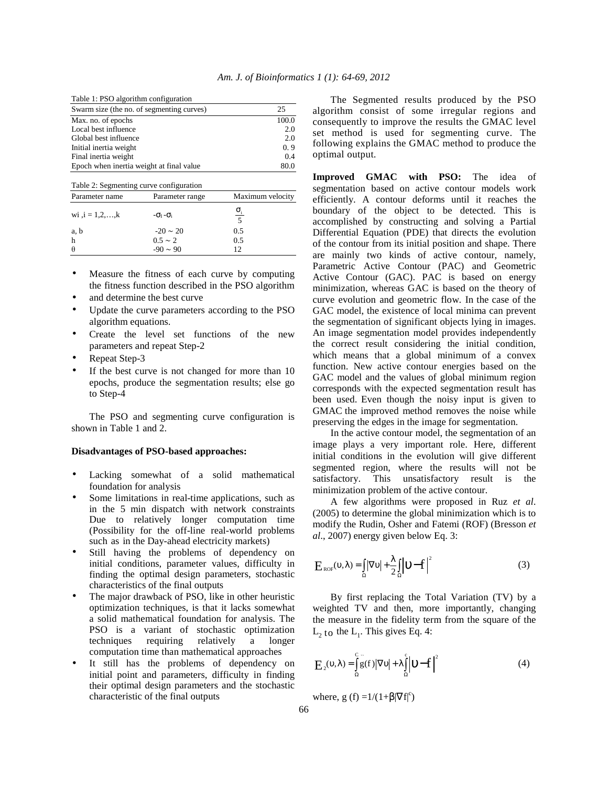| Swarm size (the no. of segmenting curves) | 25    |
|-------------------------------------------|-------|
| Max. no. of epochs                        | 100.0 |
| Local best influence                      | 2.0   |
| Global best influence                     | 2.0   |
| Initial inertia weight                    | 0.9   |
| Final inertia weight                      | 0.4   |
| Epoch when inertia weight at final value  | 80.0  |

| Table 2: Segmenting curve configuration |                              |                              |  |  |  |
|-----------------------------------------|------------------------------|------------------------------|--|--|--|
| Parameter name                          | Parameter range              | Maximum velocity             |  |  |  |
| wi , $i = 1, 2, , k$                    | $-\sigma_{I}$ - $\sigma_{i}$ | $\sigma_i$<br>$\overline{5}$ |  |  |  |
| a, b                                    | $-20 \sim 20$                | 0.5                          |  |  |  |
| h                                       | $0.5 \sim 2$                 | 0.5                          |  |  |  |
| θ                                       | $-90 \sim 90$                |                              |  |  |  |

- Measure the fitness of each curve by computing the fitness function described in the PSO algorithm
- and determine the best curve
- Update the curve parameters according to the PSO algorithm equations.
- Create the level set functions of the new parameters and repeat Step-2
- Repeat Step-3
- If the best curve is not changed for more than 10 epochs, produce the segmentation results; else go to Step-4

 The PSO and segmenting curve configuration is shown in Table 1 and 2.

#### **Disadvantages of PSO-based approaches:**

- Lacking somewhat of a solid mathematical foundation for analysis
- Some limitations in real-time applications, such as in the 5 min dispatch with network constraints Due to relatively longer computation time (Possibility for the off-line real-world problems such as in the Day-ahead electricity markets)
- Still having the problems of dependency on initial conditions, parameter values, difficulty in finding the optimal design parameters, stochastic characteristics of the final outputs
- The major drawback of PSO, like in other heuristic optimization techniques, is that it lacks somewhat a solid mathematical foundation for analysis. The PSO is a variant of stochastic optimization techniques requiring relatively a longer computation time than mathematical approaches
- It still has the problems of dependency on initial point and parameters, difficulty in finding their optimal design parameters and the stochastic characteristic of the final outputs

 The Segmented results produced by the PSO algorithm consist of some irregular regions and consequently to improve the results the GMAC level set method is used for segmenting curve. The following explains the GMAC method to produce the optimal output.

Improved GMAC with PSO: The idea of segmentation based on active contour models work efficiently. A contour deforms until it reaches the boundary of the object to be detected. This is accomplished by constructing and solving a Partial Differential Equation (PDE) that directs the evolution of the contour from its initial position and shape. There are mainly two kinds of active contour, namely, Parametric Active Contour (PAC) and Geometric Active Contour (GAC). PAC is based on energy minimization, whereas GAC is based on the theory of curve evolution and geometric flow. In the case of the GAC model, the existence of local minima can prevent the segmentation of significant objects lying in images. An image segmentation model provides independently the correct result considering the initial condition, which means that a global minimum of a convex function. New active contour energies based on the GAC model and the values of global minimum region corresponds with the expected segmentation result has been used. Even though the noisy input is given to GMAC the improved method removes the noise while preserving the edges in the image for segmentation.

 In the active contour model, the segmentation of an image plays a very important role. Here, different initial conditions in the evolution will give different segmented region, where the results will not be satisfactory. This unsatisfactory result is the minimization problem of the active contour.

 A few algorithms were proposed in Ruz *et al*. (2005) to determine the global minimization which is to modify the Rudin, Osher and Fatemi (ROF) (Bresson *et al*., 2007) energy given below Eq. 3:

$$
E_{\text{ROF}}(\upsilon, \lambda) = \iint_{\Omega} |\nabla \upsilon| + \frac{\lambda}{2} \iint_{\Omega} |\upsilon - f|^{2}
$$
 (3)

 By first replacing the Total Variation (TV) by a weighted TV and then, more importantly, changing the measure in the fidelity term from the square of the  $L_2$  to the  $L_1$ . This gives Eq. 4:

$$
E_2(\upsilon, \lambda) = \int_{\Omega} \tilde{g}(f) |\nabla \upsilon| + \lambda \int_{\Omega} \left| \upsilon - f \right|^2 \tag{4}
$$

where, g (f) = $1/(1+\beta|\nabla f|^c)$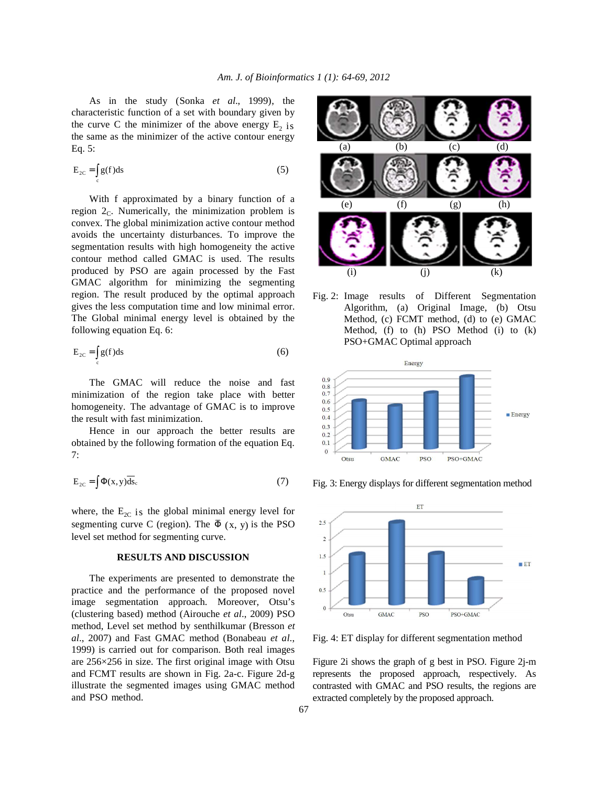As in the study (Sonka *et al*., 1999), the characteristic function of a set with boundary given by the curve C the minimizer of the above energy  $E_2$  is the same as the minimizer of the active contour energy Eq. 5:

$$
E_{2C} = \int_{c} g(f) ds
$$
 (5)

 With f approximated by a binary function of a region  $2<sub>c</sub>$ . Numerically, the minimization problem is convex. The global minimization active contour method avoids the uncertainty disturbances. To improve the segmentation results with high homogeneity the active contour method called GMAC is used. The results produced by PSO are again processed by the Fast GMAC algorithm for minimizing the segmenting region. The result produced by the optimal approach gives the less computation time and low minimal error. The Global minimal energy level is obtained by the following equation Eq. 6:

$$
E_{2C} = \int_{c} g(f) ds
$$
 (6)

 The GMAC will reduce the noise and fast minimization of the region take place with better homogeneity. The advantage of GMAC is to improve the result with fast minimization.

 Hence in our approach the better results are obtained by the following formation of the equation Eq. 7:

$$
E_{2C} = \int \Phi(x, y) \overline{ds}_c \tag{7}
$$

where, the  $E_{2C}$  is the global minimal energy level for segmenting curve C (region). The  $\overline{\Phi}$  (x, y) is the PSO level set method for segmenting curve.

## **RESULTS AND DISCUSSION**

 The experiments are presented to demonstrate the practice and the performance of the proposed novel image segmentation approach. Moreover, Otsu's (clustering based) method (Airouche *et al*., 2009) PSO method, Level set method by senthilkumar (Bresson *et al*., 2007) and Fast GMAC method (Bonabeau *et al*., 1999) is carried out for comparison. Both real images are 256×256 in size. The first original image with Otsu and FCMT results are shown in Fig. 2a-c. Figure 2d-g illustrate the segmented images using GMAC method and PSO method.



Fig. 2: Image results of Different Segmentation Algorithm, (a) Original Image, (b) Otsu Method, (c) FCMT method, (d) to (e) GMAC Method, (f) to (h) PSO Method (i) to (k) PSO+GMAC Optimal approach



Fig. 3: Energy displays for different segmentation method



Fig. 4: ET display for different segmentation method

Figure 2i shows the graph of g best in PSO. Figure 2j-m represents the proposed approach, respectively. As contrasted with GMAC and PSO results, the regions are extracted completely by the proposed approach.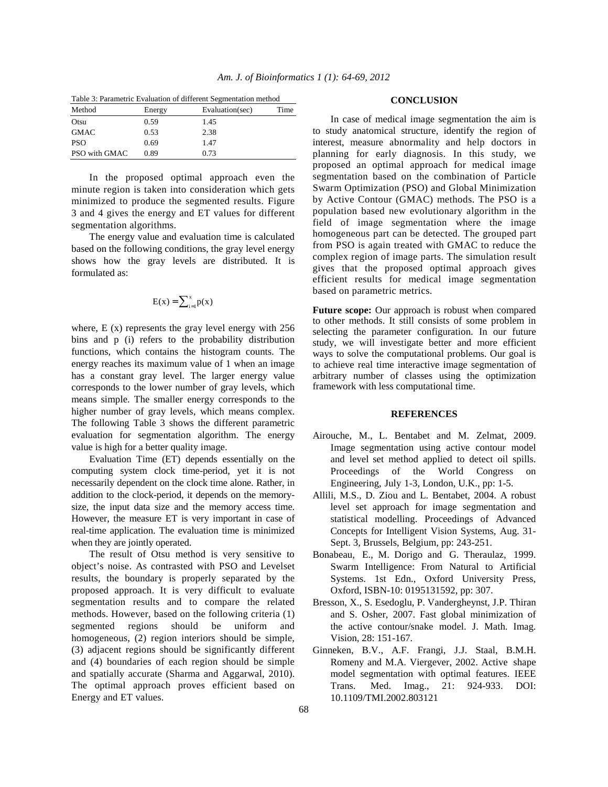|           |                                  | Table 3: Parametric Evaluation of different Segmentation method |               |
|-----------|----------------------------------|-----------------------------------------------------------------|---------------|
| $M$ athad | $\Gamma$ as $\sim$ $\sim$ $\sim$ | $E_{\text{val}}$                                                | $T_{\rm max}$ |

| Method        | Energy | Evaluation(sec) | Time |
|---------------|--------|-----------------|------|
| Otsu          | 0.59   | 1.45            |      |
| <b>GMAC</b>   | 0.53   | 2.38            |      |
| <b>PSO</b>    | 0.69   | 1.47            |      |
| PSO with GMAC | 0.89   | 0.73            |      |

 In the proposed optimal approach even the minute region is taken into consideration which gets minimized to produce the segmented results. Figure 3 and 4 gives the energy and ET values for different segmentation algorithms.

 The energy value and evaluation time is calculated based on the following conditions, the gray level energy shows how the gray levels are distributed. It is formulated as:

$$
E(x) = \sum_{i=1}^{x} p(x)
$$

where,  $E(x)$  represents the gray level energy with 256 bins and p (i) refers to the probability distribution functions, which contains the histogram counts. The energy reaches its maximum value of 1 when an image has a constant gray level. The larger energy value corresponds to the lower number of gray levels, which means simple. The smaller energy corresponds to the higher number of gray levels, which means complex. The following Table 3 shows the different parametric evaluation for segmentation algorithm. The energy value is high for a better quality image.

 Evaluation Time (ET) depends essentially on the computing system clock time-period, yet it is not necessarily dependent on the clock time alone. Rather, in addition to the clock-period, it depends on the memorysize, the input data size and the memory access time. However, the measure ET is very important in case of real-time application. The evaluation time is minimized when they are jointly operated.

 The result of Otsu method is very sensitive to object's noise. As contrasted with PSO and Levelset results, the boundary is properly separated by the proposed approach. It is very difficult to evaluate segmentation results and to compare the related methods. However, based on the following criteria (1) segmented regions should be uniform and homogeneous, (2) region interiors should be simple, (3) adjacent regions should be significantly different and (4) boundaries of each region should be simple and spatially accurate (Sharma and Aggarwal, 2010). The optimal approach proves efficient based on Energy and ET values.

#### **CONCLUSION**

 In case of medical image segmentation the aim is to study anatomical structure, identify the region of interest, measure abnormality and help doctors in planning for early diagnosis. In this study, we proposed an optimal approach for medical image segmentation based on the combination of Particle Swarm Optimization (PSO) and Global Minimization by Active Contour (GMAC) methods. The PSO is a population based new evolutionary algorithm in the field of image segmentation where the image homogeneous part can be detected. The grouped part from PSO is again treated with GMAC to reduce the complex region of image parts. The simulation result gives that the proposed optimal approach gives efficient results for medical image segmentation based on parametric metrics.

**Future scope:** Our approach is robust when compared to other methods. It still consists of some problem in selecting the parameter configuration. In our future study, we will investigate better and more efficient ways to solve the computational problems. Our goal is to achieve real time interactive image segmentation of arbitrary number of classes using the optimization framework with less computational time.

#### **REFERENCES**

- Airouche, M., L. Bentabet and M. Zelmat, 2009. Image segmentation using active contour model and level set method applied to detect oil spills. Proceedings of the World Congress on Engineering, July 1-3, London, U.K., pp: 1-5.
- Allili, M.S., D. Ziou and L. Bentabet, 2004. A robust level set approach for image segmentation and statistical modelling. Proceedings of Advanced Concepts for Intelligent Vision Systems, Aug. 31- Sept. 3, Brussels, Belgium, pp: 243-251.
- Bonabeau, E., M. Dorigo and G. Theraulaz, 1999. Swarm Intelligence: From Natural to Artificial Systems. 1st Edn., Oxford University Press, Oxford, ISBN-10: 0195131592, pp: 307.
- Bresson, X., S. Esedoglu, P. Vandergheynst, J.P. Thiran and S. Osher, 2007. Fast global minimization of the active contour/snake model. J. Math. Imag. Vision, 28: 151-167.
- Ginneken, B.V., A.F. Frangi, J.J. Staal, B.M.H. Romeny and M.A. Viergever, 2002. Active shape model segmentation with optimal features. IEEE Trans. Med. Imag., 21: 924-933. DOI: 10.1109/TMI.2002.803121